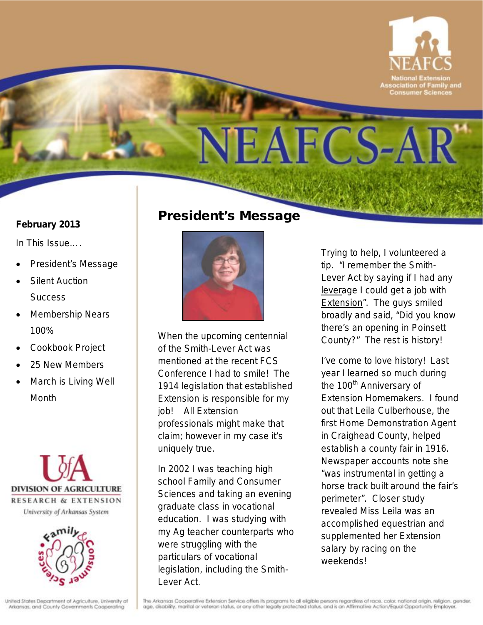

#### **February 2013**

*In This Issue….*

- President's Message
- Silent Auction **Success**
- Membership Nears 100%
- Cookbook Project
- 25 New Members
- March is *Living Well* **Month**





### President's Message



When the upcoming centennial of the Smith-Lever Act was mentioned at the recent FCS Conference I had to smile! The 1914 legislation that established Extension is responsible for my job! All Extension professionals might make that claim; however in my case it's uniquely true.

In 2002 I was teaching high school Family and Consumer Sciences and taking an evening graduate class in vocational education. I was studying with my Ag teacher counterparts who were struggling with the particulars of vocational legislation, including the Smith-Lever Act.

Trying to help, I volunteered a tip. "I remember the Smith-Lever Act by saying if I had any leverage I could get a job with **Extension**". The guys smiled broadly and said, "Did you know there's an opening in Poinsett County?" The rest is history!

I've come to love history! Last year I learned so much during the 100<sup>th</sup> Anniversary of Extension Homemakers. I found out that Leila Culberhouse, the first Home Demonstration Agent in Craighead County, helped establish a county fair in 1916. Newspaper accounts note she "was instrumental in getting a horse track built around the fair's perimeter". Closer study revealed Miss Leila was an accomplished equestrian and supplemented her Extension salary by racing on the weekends!

The Arkansas Cooperative Extension Service offers its programs to all eligible persons regardless of race, color, national origin, religion, gender. age, disability, marital or veteran status, or any other legally protected status, and is an Affirmative Action/Equal Opportunity Employer.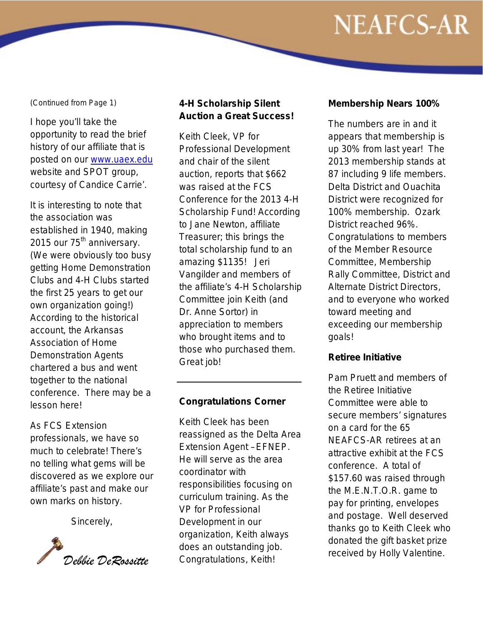#### *(Continued from Page 1)*

I hope you'll take the opportunity to read the brief history of our affiliate that is posted on our [www.uaex.edu](http://www.uaex.edu/) website and SPOT group, courtesy of Candice Carrie'.

It is interesting to note that the association was established in 1940, making 2015 our 75<sup>th</sup> anniversary. (We were obviously too busy getting Home Demonstration Clubs and 4-H Clubs started the first 25 years to get our own organization going!) According to the historical account, the Arkansas Association of Home Demonstration Agents chartered a bus and went together to the national conference. There may be a lesson here!

As FCS Extension professionals, we have so much to celebrate! There's no telling what gems will be discovered as we explore our affiliate's past and make our own marks on history.

Sincerely,



#### **4-H Scholarship Silent Auction a Great Success!**

Keith Cleek, VP for Professional Development and chair of the silent auction, reports that \$662 was raised at the FCS Conference for the 2013 4-H Scholarship Fund! According to Jane Newton, affiliate Treasurer; this brings the total scholarship fund to an amazing \$1135! Jeri Vangilder and members of the affiliate's 4-H Scholarship Committee join Keith (and Dr. Anne Sortor) in appreciation to members who brought items and to those who purchased them. Great job!

#### **Congratulations Corner**

Keith Cleek has been reassigned as the Delta Area Extension Agent –EFNEP. He will serve as the area coordinator with responsibilities focusing on curriculum training. As the VP for Professional Development in our organization, Keith always does an outstanding job. Congratulations, Keith!

#### **Membership Nears 100%**

The numbers are in and it appears that membership is up 30% from last year! The 2013 membership stands at 87 including 9 life members. Delta District and Ouachita District were recognized for 100% membership. Ozark District reached 96%. Congratulations to members of the Member Resource Committee, Membership Rally Committee, District and Alternate District Directors, and to everyone who worked toward meeting and exceeding our membership goals!

#### **Retiree Initiative**

Pam Pruett and members of the Retiree Initiative Committee were able to secure members' signatures on a card for the 65 NEAFCS-AR retirees at an attractive exhibit at the FCS conference. A total of \$157.60 was raised through the M.E.N.T.O.R. game to pay for printing, envelopes and postage. Well deserved thanks go to Keith Cleek who donated the gift basket prize received by Holly Valentine.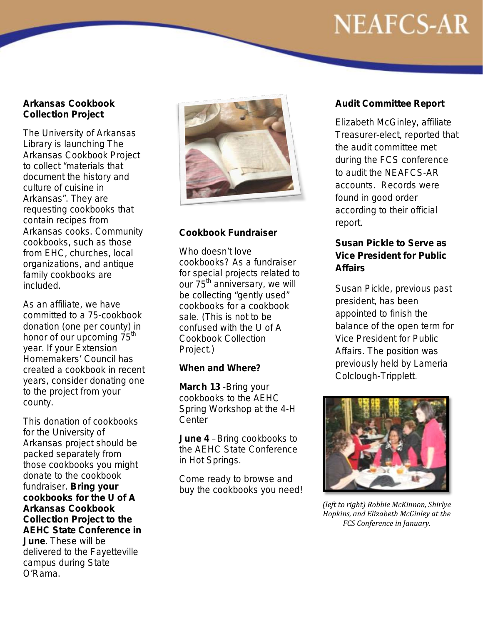#### **Arkansas Cookbook Collection Project**

The University of Arkansas Library is launching The Arkansas Cookbook Project to collect "materials that document the history and culture of cuisine in Arkansas". They are requesting cookbooks that contain recipes from Arkansas cooks. Community cookbooks, such as those from EHC, churches, local organizations, and antique family cookbooks are included.

As an affiliate, we have committed to a 75-cookbook donation (one per county) in honor of our upcoming 75<sup>th</sup> year. If your Extension Homemakers' Council has created a cookbook in recent years, consider donating one to the project from your county.

This donation of cookbooks for the University of Arkansas project should be packed separately from those cookbooks you might donate to the cookbook fundraiser. **Bring your cookbooks for the U of A Arkansas Cookbook Collection Project to the AEHC State Conference in June**. These will be delivered to the Fayetteville campus during State O'Rama.



#### **Cookbook Fundraiser**

Who doesn't love cookbooks? As a fundraiser for special projects related to our 75<sup>th</sup> anniversary, we will be collecting "gently used" cookbooks for a cookbook sale. (This is not to be confused with the U of A Cookbook Collection Project.)

#### **When and Where?**

**March 13** -Bring your cookbooks to the AEHC Spring Workshop at the 4-H **Center** 

**June 4** –Bring cookbooks to the AEHC State Conference in Hot Springs.

Come ready to browse and buy the cookbooks you need!

#### **Audit Committee Report**

Elizabeth McGinley, affiliate Treasurer-elect, reported that the audit committee met during the FCS conference to audit the NEAFCS-AR accounts. Records were found in good order according to their official report.

#### **Susan Pickle to Serve as Vice President for Public Affairs**

Susan Pickle, previous past president, has been appointed to finish the balance of the open term for Vice President for Public Affairs. The position was previously held by Lameria Colclough-Tripplett.



*(left to right) Robbie McKinnon, Shirlye Hopkins, and Elizabeth McGinley at the FCS Conference in January.*